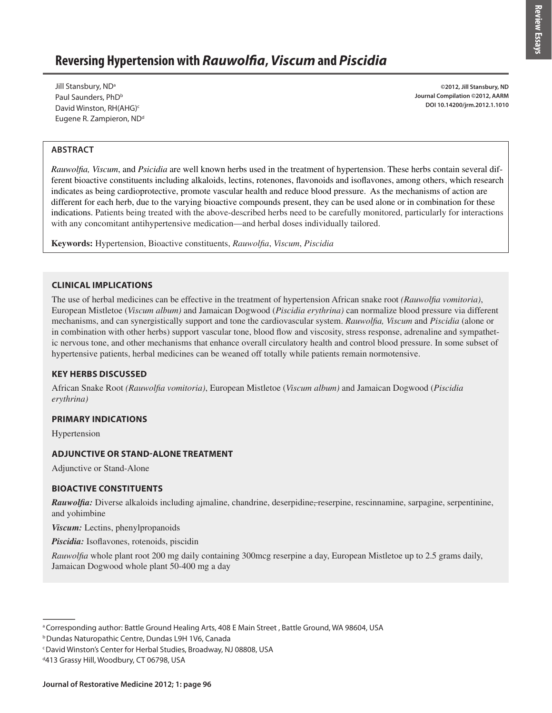# **Reversing Hypertension with** *Rauwolfia***,** *Viscum* **and** *Piscidia*

Jill Stansbury, ND<sup>a</sup> Paul Saunders, PhD<sup>b</sup> David Winston, RH(AHG)<sup>c</sup> Eugene R. Zampieron, ND<sup>d</sup>

**©2012, Jill Stansbury, ND Journal Compilation ©2012, AARM DOI 10.14200/jrm.2012.1.1010**

### **ABSTRACT**

*Rauwolfia, Viscum*, and *Psicidia* are well known herbs used in the treatment of hypertension. These herbs contain several different bioactive constituents including alkaloids, lectins, rotenones, flavonoids and isoflavones, among others, which research indicates as being cardioprotective, promote vascular health and reduce blood pressure. As the mechanisms of action are different for each herb, due to the varying bioactive compounds present, they can be used alone or in combination for these indications. Patients being treated with the above-described herbs need to be carefully monitored, particularly for interactions with any concomitant antihypertensive medication—and herbal doses individually tailored.

**Keywords:** Hypertension, Bioactive constituents, *Rauwolfia*, *Viscum*, *Piscidia*

#### **Clinical Implications**

The use of herbal medicines can be effective in the treatment of hypertension African snake root *(Rauwolfia vomitoria)*, European Mistletoe (*Viscum album)* and Jamaican Dogwood (*Piscidia erythrina)* can normalize blood pressure via different mechanisms, and can synergistically support and tone the cardiovascular system. *Rauwolfia, Viscum* and *Piscidia* (alone or in combination with other herbs) support vascular tone, blood flow and viscosity, stress response, adrenaline and sympathetic nervous tone, and other mechanisms that enhance overall circulatory health and control blood pressure. In some subset of hypertensive patients, herbal medicines can be weaned off totally while patients remain normotensive.

#### **Key Herbs Discussed**

African Snake Root *(Rauwolfia vomitoria)*, European Mistletoe (*Viscum album)* and Jamaican Dogwood (*Piscidia erythrina)* 

#### **Primary Indications**

Hypertension

#### **Adjunctive or Stand-Alone Treatment**

Adjunctive or Stand-Alone

#### **Bioactive Constituents**

*Rauwolfia:* Diverse alkaloids including ajmaline, chandrine, deserpidine, reserpine, rescinnamine, sarpagine, serpentinine, and yohimbine

*Viscum:* Lectins, phenylpropanoids

*Piscidia:* Isoflavones, rotenoids, piscidin

*Rauwolfia* whole plant root 200 mg daily containing 300mcg reserpine a day, European Mistletoe up to 2.5 grams daily, Jamaican Dogwood whole plant 50-400 mg a day

**b** Dundas Naturopathic Centre, Dundas L9H 1V6, Canada

aCorresponding author: Battle Ground Healing Arts, 408 E Main Street, Battle Ground, WA 98604, USA

cDavid Winston's Center for Herbal Studies, Broadway, NJ 08808, USA

d 413 Grassy Hill, Woodbury, CT 06798, USA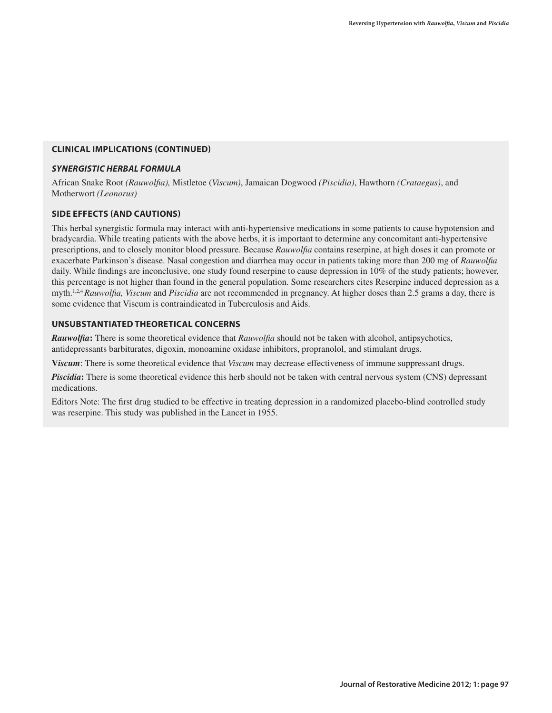#### **Clinical Implications (continued)**

#### *Synergistic Herbal Formula*

African Snake Root *(Rauwolfia),* Mistletoe (*Viscum)*, Jamaican Dogwood *(Piscidia)*, Hawthorn *(Crataegus)*, and Motherwort *(Leonorus)*

#### **Side Effects (and Cautions)**

This herbal synergistic formula may interact with anti-hypertensive medications in some patients to cause hypotension and bradycardia. While treating patients with the above herbs, it is important to determine any concomitant anti-hypertensive prescriptions, and to closely monitor blood pressure. Because *Rauwolfia* contains reserpine, at high doses it can promote or exacerbate Parkinson's disease. Nasal congestion and diarrhea may occur in patients taking more than 200 mg of *Rauwolfia* daily. While findings are inconclusive, one study found reserpine to cause depression in 10% of the study patients; however, this percentage is not higher than found in the general population. Some researchers cites Reserpine induced depression as a myth.<sup>1,2,4</sup> Rauwolfia, Viscum and Piscidia are not recommended in pregnancy. At higher doses than 2.5 grams a day, there is some evidence that Viscum is contraindicated in Tuberculosis and Aids.

#### **Unsubstantiated Theoretical Concerns**

*Rauwolfia***:** There is some theoretical evidence that *Rauwolfia* should not be taken with alcohol, antipsychotics, antidepressants barbiturates, digoxin, monoamine oxidase inhibitors, propranolol, and stimulant drugs.

**V***iscum*: There is some theoretical evidence that *Viscum* may decrease effectiveness of immune suppressant drugs.

*Piscidia***:** There is some theoretical evidence this herb should not be taken with central nervous system (CNS) depressant medications.

Editors Note: The first drug studied to be effective in treating depression in a randomized placebo-blind controlled study was reserpine. This study was published in the Lancet in 1955.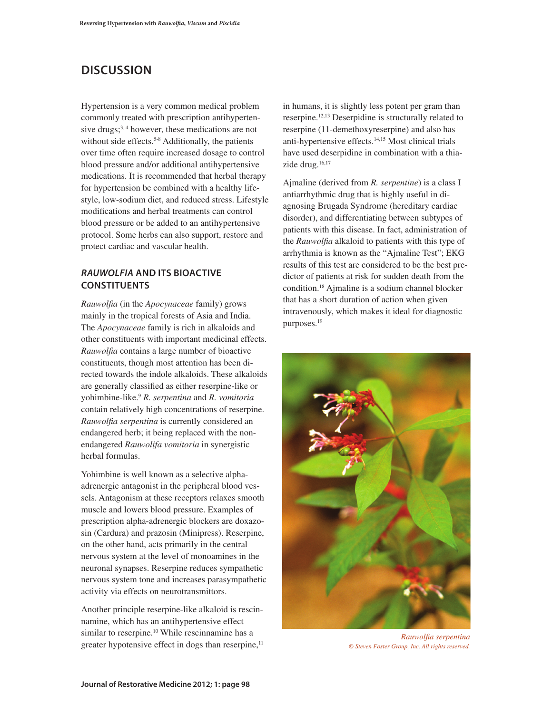## **Discussion**

Hypertension is a very common medical problem commonly treated with prescription antihypertensive drugs;<sup>3, 4</sup> however, these medications are not without side effects.<sup>5-8</sup> Additionally, the patients over time often require increased dosage to control blood pressure and/or additional antihypertensive medications. It is recommended that herbal therapy for hypertension be combined with a healthy lifestyle, low-sodium diet, and reduced stress. Lifestyle modifications and herbal treatments can control blood pressure or be added to an antihypertensive protocol. Some herbs can also support, restore and protect cardiac and vascular health.

## *Rauwolfia* **and its Bioactive Constituents**

*Rauwolfia* (in the *Apocynaceae* family) grows mainly in the tropical forests of Asia and India. The *Apocynaceae* family is rich in alkaloids and other constituents with important medicinal effects. *Rauwolfia* contains a large number of bioactive constituents, though most attention has been directed towards the indole alkaloids. These alkaloids are generally classified as either reserpine-like or yohimbine-like.9 *R. serpentina* and *R. vomitoria* contain relatively high concentrations of reserpine. *Rauwolfia serpentina* is currently considered an endangered herb; it being replaced with the nonendangered *Rauwolifa vomitoria* in synergistic herbal formulas.

Yohimbine is well known as a selective alphaadrenergic antagonist in the peripheral blood vessels. Antagonism at these receptors relaxes smooth muscle and lowers blood pressure. Examples of prescription alpha-adrenergic blockers are doxazosin (Cardura) and prazosin (Minipress). Reserpine, on the other hand, acts primarily in the central nervous system at the level of monoamines in the neuronal synapses. Reserpine reduces sympathetic nervous system tone and increases parasympathetic activity via effects on neurotransmittors.

Another principle reserpine-like alkaloid is rescinnamine, which has an antihypertensive effect similar to reserpine.<sup>10</sup> While rescinnamine has a greater hypotensive effect in dogs than reserpine,<sup>11</sup>

in humans, it is slightly less potent per gram than reserpine.<sup>12,13</sup> Deserpidine is structurally related to reserpine (11-demethoxyreserpine) and also has anti-hypertensive effects.14,15 Most clinical trials have used deserpidine in combination with a thiazide drug.<sup>16,17</sup>

Ajmaline (derived from *R. serpentine*) is a class I antiarrhythmic drug that is highly useful in diagnosing Brugada Syndrome (hereditary cardiac disorder), and differentiating between subtypes of patients with this disease. In fact, administration of the *Rauwolfia* alkaloid to patients with this type of arrhythmia is known as the "Ajmaline Test"; EKG results of this test are considered to be the best predictor of patients at risk for sudden death from the condition.18 Ajmaline is a sodium channel blocker that has a short duration of action when given intravenously, which makes it ideal for diagnostic purposes.19



*Rauwolfia serpentina © Steven Foster Group, Inc. All rights reserved.*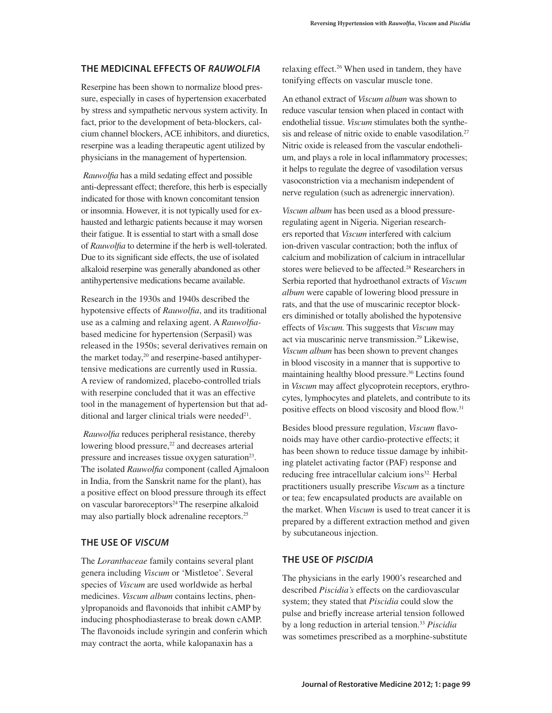#### **The Medicinal Effects of** *Rauwolfia*

Reserpine has been shown to normalize blood pressure, especially in cases of hypertension exacerbated by stress and sympathetic nervous system activity. In fact, prior to the development of beta-blockers, calcium channel blockers, ACE inhibitors, and diuretics, reserpine was a leading therapeutic agent utilized by physicians in the management of hypertension.

 *Rauwolfia* has a mild sedating effect and possible anti-depressant effect; therefore, this herb is especially indicated for those with known concomitant tension or insomnia. However, it is not typically used for exhausted and lethargic patients because it may worsen their fatigue. It is essential to start with a small dose of *Rauwolfia* to determine if the herb is well-tolerated. Due to its significant side effects, the use of isolated alkaloid reserpine was generally abandoned as other antihypertensive medications became available.

Research in the 1930s and 1940s described the hypotensive effects of *Rauwolfia*, and its traditional use as a calming and relaxing agent. A *Rauwolfia*based medicine for hypertension (Serpasil) was released in the 1950s; several derivatives remain on the market today,<sup>20</sup> and reserpine-based antihypertensive medications are currently used in Russia. A review of randomized, placebo-controlled trials with reserpine concluded that it was an effective tool in the management of hypertension but that additional and larger clinical trials were needed $21$ .

 *Rauwolfia* reduces peripheral resistance, thereby lowering blood pressure,<sup>22</sup> and decreases arterial pressure and increases tissue oxygen saturation<sup>23</sup>. The isolated *Rauwolfia* component (called Ajmaloon in India, from the Sanskrit name for the plant), has a positive effect on blood pressure through its effect on vascular baroreceptors<sup>24</sup> The reserpine alkaloid may also partially block adrenaline receptors.25

#### **The Use of** *Viscum*

The *Loranthaceae* family contains several plant genera including *Viscum* or 'Mistletoe'. Several species of *Viscum* are used worldwide as herbal medicines. *Viscum album* contains lectins, phenylpropanoids and flavonoids that inhibit cAMP by inducing phosphodiasterase to break down cAMP. The flavonoids include syringin and conferin which may contract the aorta, while kalopanaxin has a

relaxing effect.<sup>26</sup> When used in tandem, they have tonifying effects on vascular muscle tone.

An ethanol extract of *Viscum album* was shown to reduce vascular tension when placed in contact with endothelial tissue. *Viscum* stimulates both the synthesis and release of nitric oxide to enable vasodilation.<sup>27</sup> Nitric oxide is released from the vascular endothelium, and plays a role in local inflammatory processes; it helps to regulate the degree of vasodilation versus vasoconstriction via a mechanism independent of nerve regulation (such as adrenergic innervation).

*Viscum album* has been used as a blood pressureregulating agent in Nigeria. Nigerian researchers reported that *Viscum* interfered with calcium ion-driven vascular contraction; both the influx of calcium and mobilization of calcium in intracellular stores were believed to be affected.<sup>28</sup> Researchers in Serbia reported that hydroethanol extracts of *Viscum album* were capable of lowering blood pressure in rats, and that the use of muscarinic receptor blockers diminished or totally abolished the hypotensive effects of *Viscum.* This suggests that *Viscum* may act via muscarinic nerve transmission.29 Likewise, *Viscum album* has been shown to prevent changes in blood viscosity in a manner that is supportive to maintaining healthy blood pressure.<sup>30</sup> Lectins found in *Viscum* may affect glycoprotein receptors, erythrocytes, lymphocytes and platelets, and contribute to its positive effects on blood viscosity and blood flow.<sup>31</sup>

Besides blood pressure regulation, *Viscum* flavonoids may have other cardio-protective effects; it has been shown to reduce tissue damage by inhibiting platelet activating factor (PAF) response and reducing free intracellular calcium ions<sup>32.</sup> Herbal practitioners usually prescribe *Viscum* as a tincture or tea; few encapsulated products are available on the market. When *Viscum* is used to treat cancer it is prepared by a different extraction method and given by subcutaneous injection.

## **The Use of** *Piscidia*

The physicians in the early 1900's researched and described *Piscidia's* effects on the cardiovascular system; they stated that *Piscidia* could slow the pulse and briefly increase arterial tension followed by a long reduction in arterial tension.33 *Piscidia* was sometimes prescribed as a morphine-substitute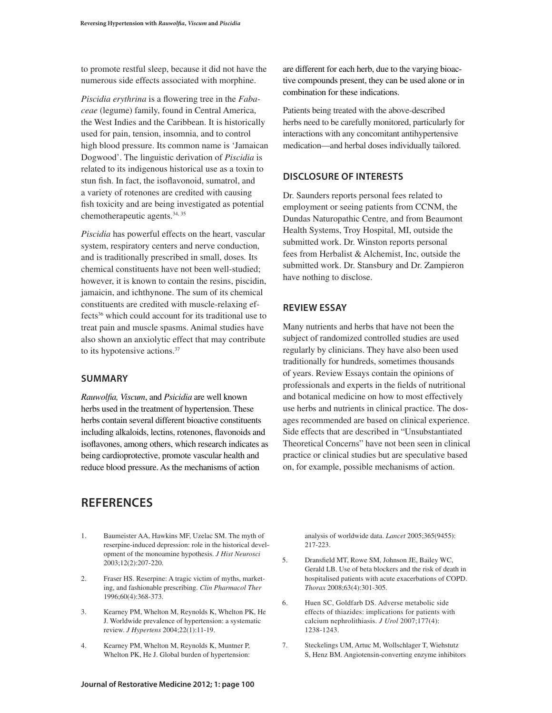to promote restful sleep, because it did not have the numerous side effects associated with morphine.

*Piscidia erythrina* is a flowering tree in the *Fabaceae* (legume) family, found in Central America, the West Indies and the Caribbean. It is historically used for pain, tension, insomnia, and to control high blood pressure. Its common name is 'Jamaican Dogwood'. The linguistic derivation of *Piscidia* is related to its indigenous historical use as a toxin to stun fish. In fact, the isoflavonoid, sumatrol, and a variety of rotenones are credited with causing fish toxicity and are being investigated as potential chemotherapeutic agents.34, 35

*Piscidia* has powerful effects on the heart, vascular system, respiratory centers and nerve conduction, and is traditionally prescribed in small, doses*.* Its chemical constituents have not been well-studied; however, it is known to contain the resins, piscidin, jamaicin, and ichthynone. The sum of its chemical constituents are credited with muscle-relaxing effects36 which could account for its traditional use to treat pain and muscle spasms. Animal studies have also shown an anxiolytic effect that may contribute to its hypotensive actions.<sup>37</sup>

#### **Summary**

*Rauwolfia, Viscum*, and *Psicidia* are well known herbs used in the treatment of hypertension. These herbs contain several different bioactive constituents including alkaloids, lectins, rotenones, flavonoids and isoflavones, among others, which research indicates as being cardioprotective, promote vascular health and reduce blood pressure. As the mechanisms of action

are different for each herb, due to the varying bioactive compounds present, they can be used alone or in combination for these indications.

Patients being treated with the above-described herbs need to be carefully monitored, particularly for interactions with any concomitant antihypertensive medication—and herbal doses individually tailored.

#### **DISCLOSURE OF INTERESTS**

Dr. Saunders reports personal fees related to employment or seeing patients from CCNM, the Dundas Naturopathic Centre, and from Beaumont Health Systems, Troy Hospital, MI, outside the submitted work. Dr. Winston reports personal fees from Herbalist & Alchemist, Inc, outside the submitted work. Dr. Stansbury and Dr. Zampieron have nothing to disclose.

#### **Review Essay**

Many nutrients and herbs that have not been the subject of randomized controlled studies are used regularly by clinicians. They have also been used traditionally for hundreds, sometimes thousands of years. Review Essays contain the opinions of professionals and experts in the fields of nutritional and botanical medicine on how to most effectively use herbs and nutrients in clinical practice. The dosages recommended are based on clinical experience. Side effects that are described in "Unsubstantiated Theoretical Concerns" have not been seen in clinical practice or clinical studies but are speculative based on, for example, possible mechanisms of action.

## **References**

- 1. Baumeister AA, Hawkins MF, Uzelac SM. The myth of reserpine-induced depression: role in the historical development of the monoamine hypothesis. *J Hist Neurosci* 2003;12(2):207-220.
- 2. Fraser HS. Reserpine: A tragic victim of myths, marketing, and fashionable prescribing. *Clin Pharmacol Ther* 1996;60(4):368-373.
- 3. Kearney PM, Whelton M, Reynolds K, Whelton PK, He J. Worldwide prevalence of hypertension: a systematic review. *J Hypertens* 2004;22(1):11-19.
- 4. Kearney PM, Whelton M, Reynolds K, Muntner P, Whelton PK, He J. Global burden of hypertension:

analysis of worldwide data. *Lancet* 2005;365(9455): 217-223.

- 5. Dransfield MT, Rowe SM, Johnson JE, Bailey WC, Gerald LB. Use of beta blockers and the risk of death in hospitalised patients with acute exacerbations of COPD. *Thorax* 2008;63(4):301-305.
- 6. Huen SC, Goldfarb DS. Adverse metabolic side effects of thiazides: implications for patients with calcium nephrolithiasis. *J Urol* 2007;177(4): 1238-1243.
- 7. Steckelings UM, Artuc M, Wollschlager T, Wiehstutz S, Henz BM. Angiotensin-converting enzyme inhibitors